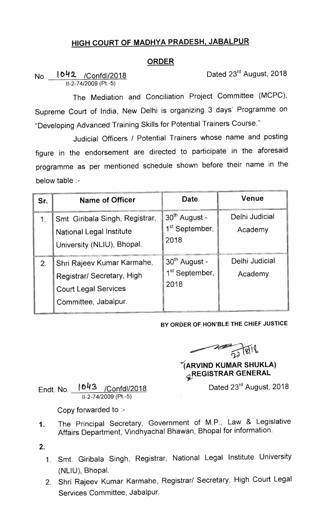## HIGH COURT OF MADHYA PRADESH, JABALPUR

## ORDER

No. 10H2. /Confdl/2018 Dated 23rd August, 2018 11-2-74/2009 (Pt.-5)

The Mediation and Conciliation Project Committee (MCPC), Supreme Court of India, New Delhi is organizing 3 days' Programme on "Developing Advanced Training Skills for Potential Trainers Course."

Judicial Officers / Potential Trainers whose name and posting figure in the endorsement are directed to participate in the aforesaid programme as per mentioned schedule shown before their name in the below table :-

| Sr.           | <b>Name of Officer</b>                                                                                          | Date                                                            | Venue                     |
|---------------|-----------------------------------------------------------------------------------------------------------------|-----------------------------------------------------------------|---------------------------|
| $\mathbf 1$ . | Smt. Giribala Singh, Registrar,<br>National Legal Institute<br>University (NLIU), Bhopal.                       | 30 <sup>th</sup> August -<br>1 <sup>st</sup> September,<br>2018 | Delhi Judicial<br>Academy |
| 2.            | Shri Rajeev Kumar Karmahe,<br>Registrar/ Secretary, High<br><b>Court Legal Services</b><br>Committee, Jabalpur. | 30 <sup>th</sup> August -<br>1 <sup>st</sup> September,<br>2018 | Delhi Judicial<br>Academy |

## BY ORDER OF HON'BLE THE CHIEF JUSTICE

 $\frac{2}{2}$   $\frac{1}{81}$ 

## |ARVIND KUMAR SHUKLA) **GREGISTRAR GENERAL**

Dated 23<sup>rd</sup> August, 2018

Endt. No. \_\_<mark>(043</mark> /Confdl/2018 11-2-74/2009 (Pt.-5)

Copy forwarded to :-

- The Principal Secretary, Government of M.P., Law & Legislative  $1<sub>1</sub>$ Affairs Department, Vindhyachal Bhawan, Bhopal for information.
- $2.$ 
	- 1. Smt. Giribala Singh, Registrar, National Legal Institute University (NLIU), Bhopal.
	- 2. Shri Rajeev Kumar Karmahe, Registrar/ Secretary, High Court Legal Services Committee, Jabalpur.